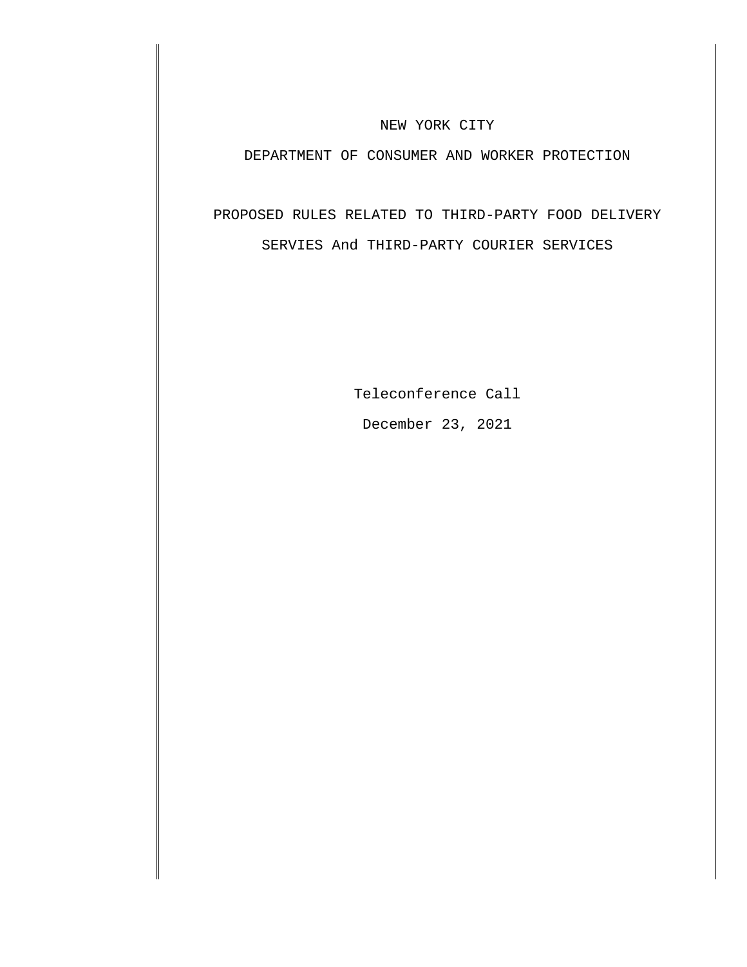## NEW YORK CITY

## DEPARTMENT OF CONSUMER AND WORKER PROTECTION

# PROPOSED RULES RELATED TO THIRD-PARTY FOOD DELIVERY SERVIES And THIRD-PARTY COURIER SERVICES

Teleconference Call December 23, 2021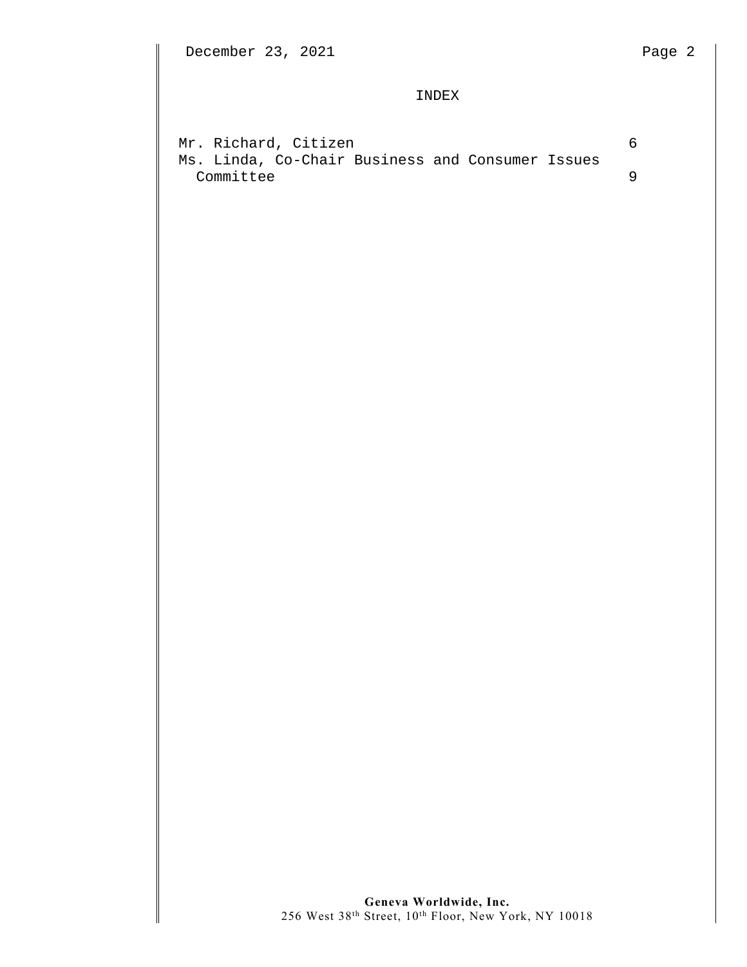### INDEX

|           |  | Mr. Richard, Citizen                             |  |  |  |  |
|-----------|--|--------------------------------------------------|--|--|--|--|
|           |  | Ms. Linda, Co-Chair Business and Consumer Issues |  |  |  |  |
| Committee |  |                                                  |  |  |  |  |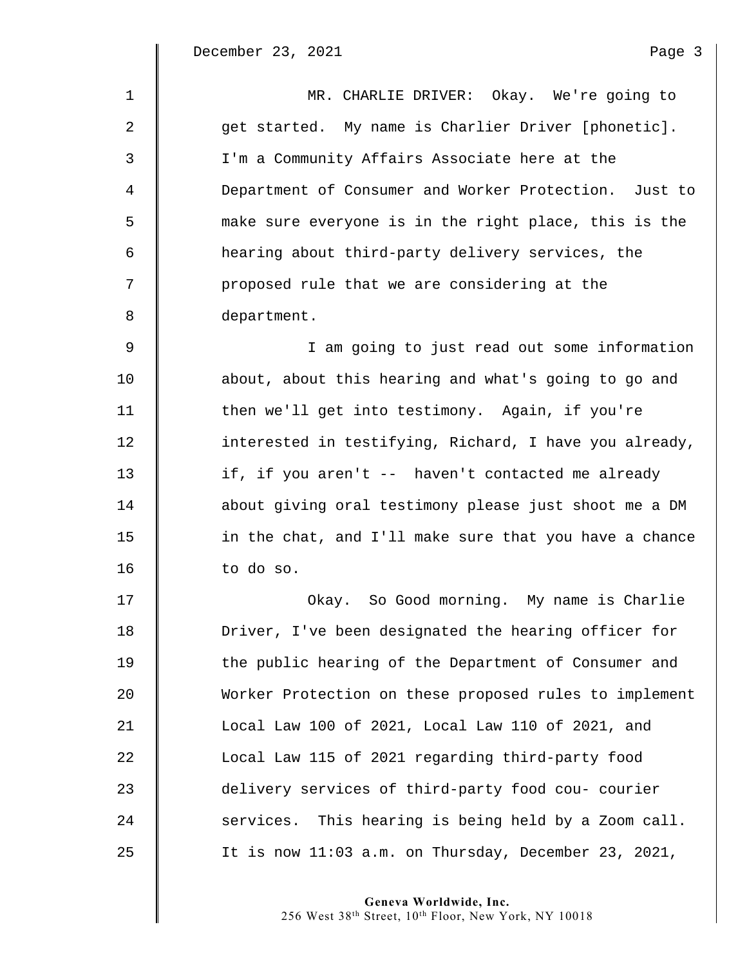$\mathbb I$ 

| $\mathbf{1}$ | MR. CHARLIE DRIVER: Okay. We're going to               |
|--------------|--------------------------------------------------------|
| 2            | get started. My name is Charlier Driver [phonetic].    |
| 3            | I'm a Community Affairs Associate here at the          |
| 4            | Department of Consumer and Worker Protection. Just to  |
| 5            | make sure everyone is in the right place, this is the  |
| 6            | hearing about third-party delivery services, the       |
| 7            | proposed rule that we are considering at the           |
| 8            | department.                                            |
| $\mathsf 9$  | I am going to just read out some information           |
| 10           | about, about this hearing and what's going to go and   |
| 11           | then we'll get into testimony. Again, if you're        |
| 12           | interested in testifying, Richard, I have you already, |
| 13           | if, if you aren't -- haven't contacted me already      |
| 14           | about giving oral testimony please just shoot me a DM  |
| 15           | in the chat, and I'll make sure that you have a chance |
| 16           | to do so.                                              |
| 17           | Okay. So Good morning. My name is Charlie              |
| 18           | Driver, I've been designated the hearing officer for   |
| 19           | the public hearing of the Department of Consumer and   |
| 20           | Worker Protection on these proposed rules to implement |
| 21           | Local Law 100 of 2021, Local Law 110 of 2021, and      |
| 22           | Local Law 115 of 2021 regarding third-party food       |
| 23           | delivery services of third-party food cou- courier     |
| 24           | services. This hearing is being held by a Zoom call.   |
| 25           | It is now 11:03 a.m. on Thursday, December 23, 2021,   |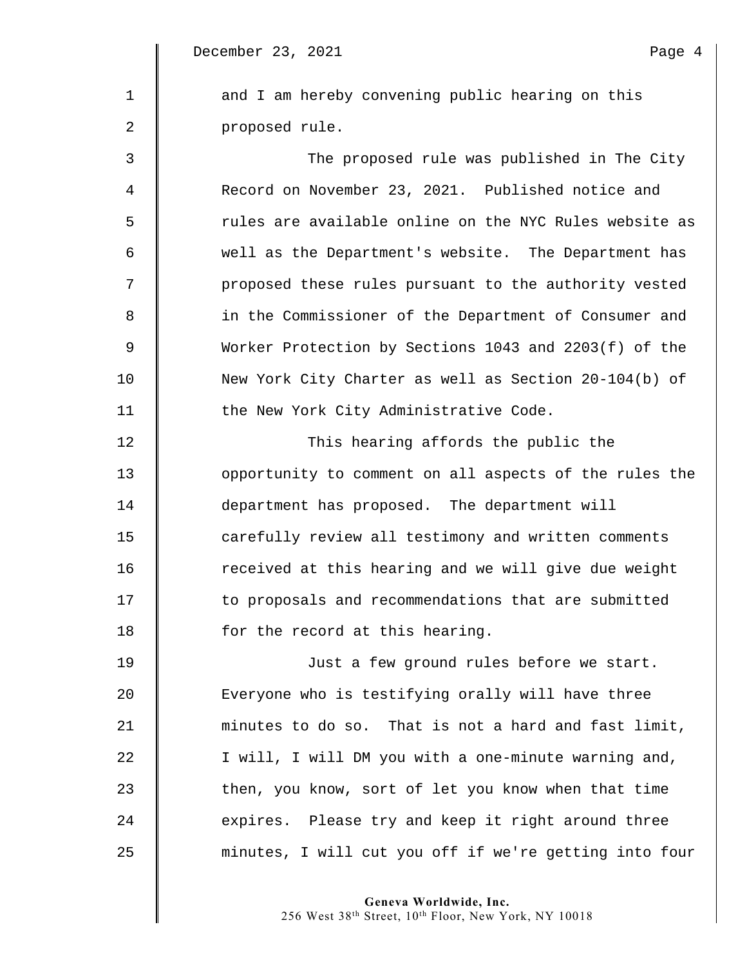December 23, 2021 Page 4

1 | and I am hereby convening public hearing on this 2 | proposed rule. 3 The proposed rule was published in The City 4 **Number 23, 2021.** Published notice and 5  $\parallel$  rules are available online on the NYC Rules website as 6 well as the Department's website. The Department has 7 | proposed these rules pursuant to the authority vested 8 || in the Commissioner of the Department of Consumer and 9 Worker Protection by Sections 1043 and 2203(f) of the 10 New York City Charter as well as Section 20-104(b) of 11 **the New York City Administrative Code.** 

12 | This hearing affords the public the 13 **I** opportunity to comment on all aspects of the rules the 14 department has proposed. The department will 15 **carefully review all testimony and written comments** 16 | The received at this hearing and we will give due weight 17 **to proposals and recommendations that are submitted** 18 **for the record at this hearing.** 

19 Just a few ground rules before we start. 20 Everyone who is testifying orally will have three 21 minutes to do so. That is not a hard and fast limit, 22 | I will, I will DM you with a one-minute warning and, 23 then, you know, sort of let you know when that time 24 expires. Please try and keep it right around three 25 minutes, I will cut you off if we're getting into four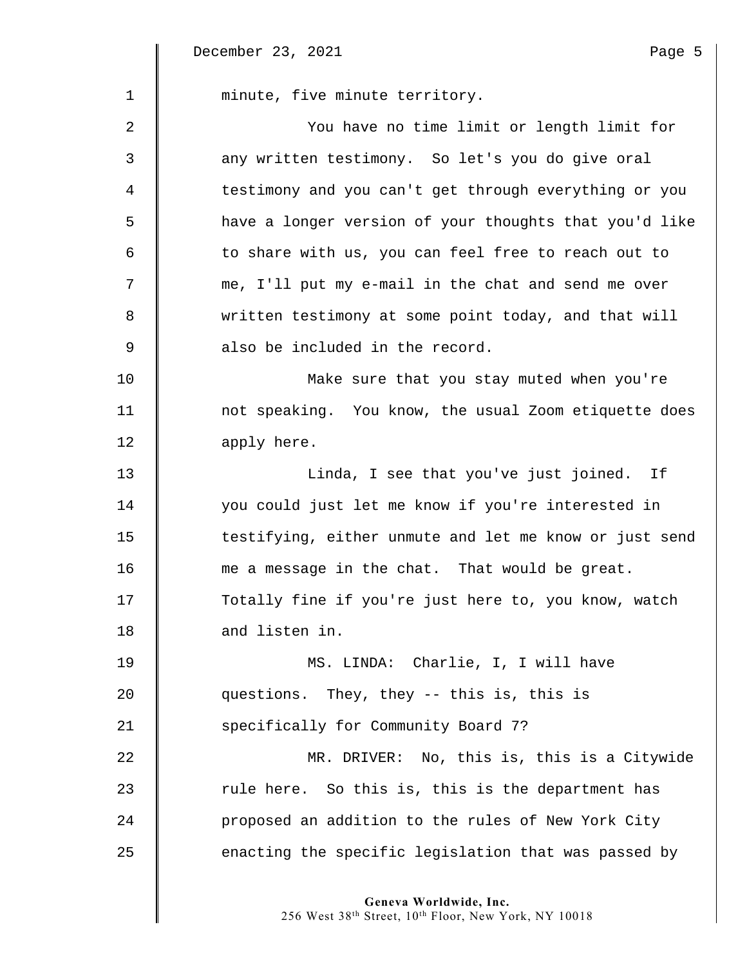December 23, 2021 and the contract of the Page 5

 $\Big\|$ 

| $\mathbf 1$ | minute, five minute territory.                         |
|-------------|--------------------------------------------------------|
| 2           | You have no time limit or length limit for             |
| 3           | any written testimony. So let's you do give oral       |
| 4           | testimony and you can't get through everything or you  |
| 5           | have a longer version of your thoughts that you'd like |
| 6           | to share with us, you can feel free to reach out to    |
| 7           | me, I'll put my e-mail in the chat and send me over    |
| 8           | written testimony at some point today, and that will   |
| 9           | also be included in the record.                        |
| 10          | Make sure that you stay muted when you're              |
| 11          | not speaking. You know, the usual Zoom etiquette does  |
| 12          | apply here.                                            |
| 13          | Linda, I see that you've just joined. If               |
| 14          | you could just let me know if you're interested in     |
| 15          | testifying, either unmute and let me know or just send |
| 16          | me a message in the chat. That would be great.         |
| 17          | Totally fine if you're just here to, you know, watch   |
| 18          | and listen in.                                         |
| 19          | MS. LINDA: Charlie, I, I will have                     |
| 20          | questions. They, they -- this is, this is              |
| 21          | specifically for Community Board 7?                    |
| 22          | MR. DRIVER: No, this is, this is a Citywide            |
| 23          | rule here. So this is, this is the department has      |
| 24          | proposed an addition to the rules of New York City     |
| 25          | enacting the specific legislation that was passed by   |
|             |                                                        |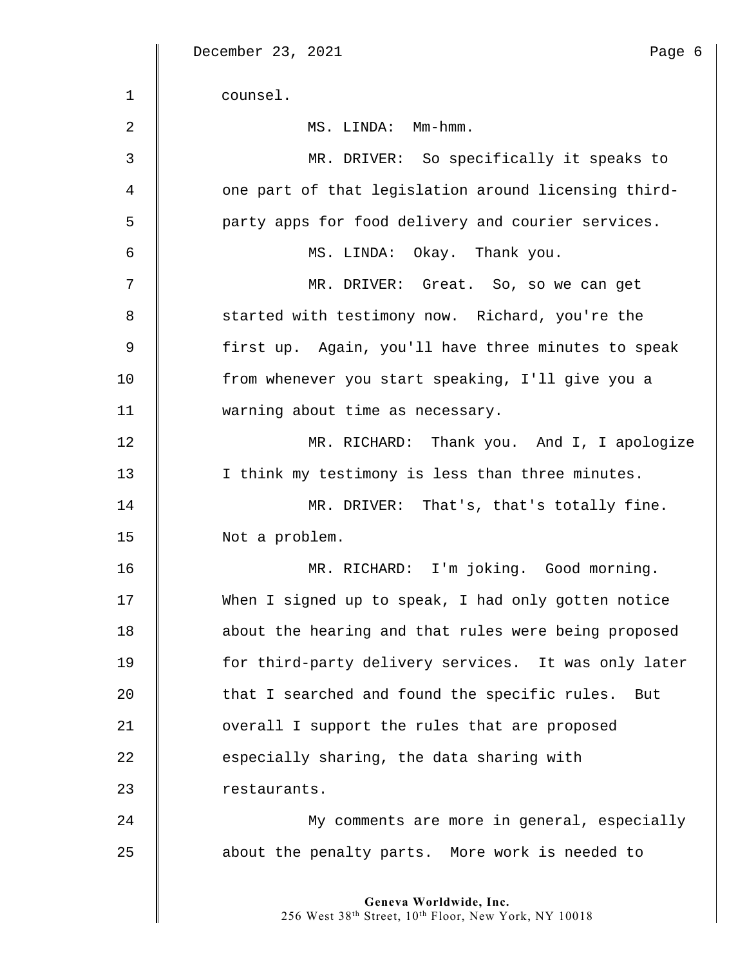|    | December 23, 2021<br>Page 6                                                    |
|----|--------------------------------------------------------------------------------|
| 1  | counsel.                                                                       |
| 2  | MS. LINDA: Mm-hmm.                                                             |
| 3  | MR. DRIVER: So specifically it speaks to                                       |
| 4  | one part of that legislation around licensing third-                           |
| 5  | party apps for food delivery and courier services.                             |
| 6  | MS. LINDA: Okay. Thank you.                                                    |
| 7  | MR. DRIVER: Great. So, so we can get                                           |
| 8  | started with testimony now. Richard, you're the                                |
| 9  | first up. Again, you'll have three minutes to speak                            |
| 10 | from whenever you start speaking, I'll give you a                              |
| 11 | warning about time as necessary.                                               |
| 12 | MR. RICHARD: Thank you. And I, I apologize                                     |
| 13 | I think my testimony is less than three minutes.                               |
| 14 | MR. DRIVER: That's, that's totally fine.                                       |
| 15 | Not a problem.                                                                 |
| 16 | MR. RICHARD: I'm joking. Good morning.                                         |
| 17 | When I signed up to speak, I had only gotten notice                            |
| 18 | about the hearing and that rules were being proposed                           |
| 19 | for third-party delivery services. It was only later                           |
| 20 | that I searched and found the specific rules. But                              |
| 21 | overall I support the rules that are proposed                                  |
| 22 | especially sharing, the data sharing with                                      |
| 23 | restaurants.                                                                   |
| 24 | My comments are more in general, especially                                    |
| 25 | about the penalty parts. More work is needed to                                |
|    | Geneva Worldwide, Inc.<br>256 West 38th Street, 10th Floor, New York, NY 10018 |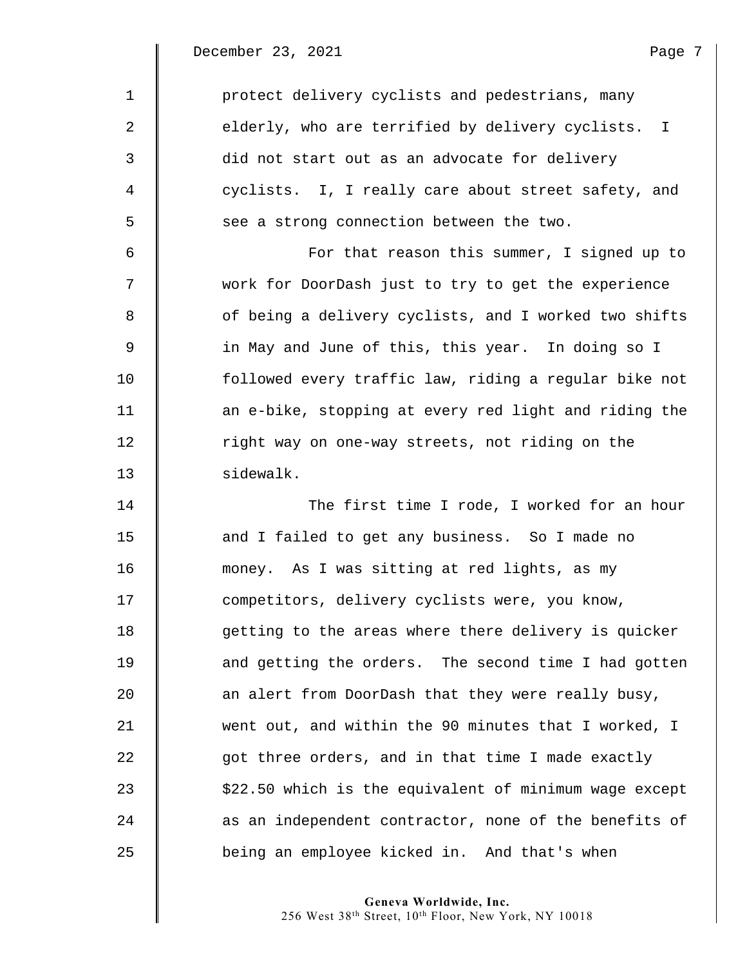December 23, 2021 and the page 7

 $\mathbb I$ 

| $\mathbf{1}$ | protect delivery cyclists and pedestrians, many        |
|--------------|--------------------------------------------------------|
| 2            | elderly, who are terrified by delivery cyclists. I     |
| 3            | did not start out as an advocate for delivery          |
| 4            | cyclists. I, I really care about street safety, and    |
| 5            | see a strong connection between the two.               |
| 6            | For that reason this summer, I signed up to            |
| 7            | work for DoorDash just to try to get the experience    |
| 8            | of being a delivery cyclists, and I worked two shifts  |
| 9            | in May and June of this, this year. In doing so I      |
| 10           | followed every traffic law, riding a regular bike not  |
| 11           | an e-bike, stopping at every red light and riding the  |
| 12           | right way on one-way streets, not riding on the        |
| 13           | sidewalk.                                              |
| 14           | The first time I rode, I worked for an hour            |
| 15           | and I failed to get any business. So I made no         |
| 16           | money. As I was sitting at red lights, as my           |
| 17           | competitors, delivery cyclists were, you know,         |
| 18           | getting to the areas where there delivery is quicker   |
| 19           | and getting the orders. The second time I had gotten   |
| 20           | an alert from DoorDash that they were really busy,     |
| 21           | went out, and within the 90 minutes that I worked, I   |
| 22           | got three orders, and in that time I made exactly      |
| 23           | \$22.50 which is the equivalent of minimum wage except |
| 24           | as an independent contractor, none of the benefits of  |
| 25           | being an employee kicked in. And that's when           |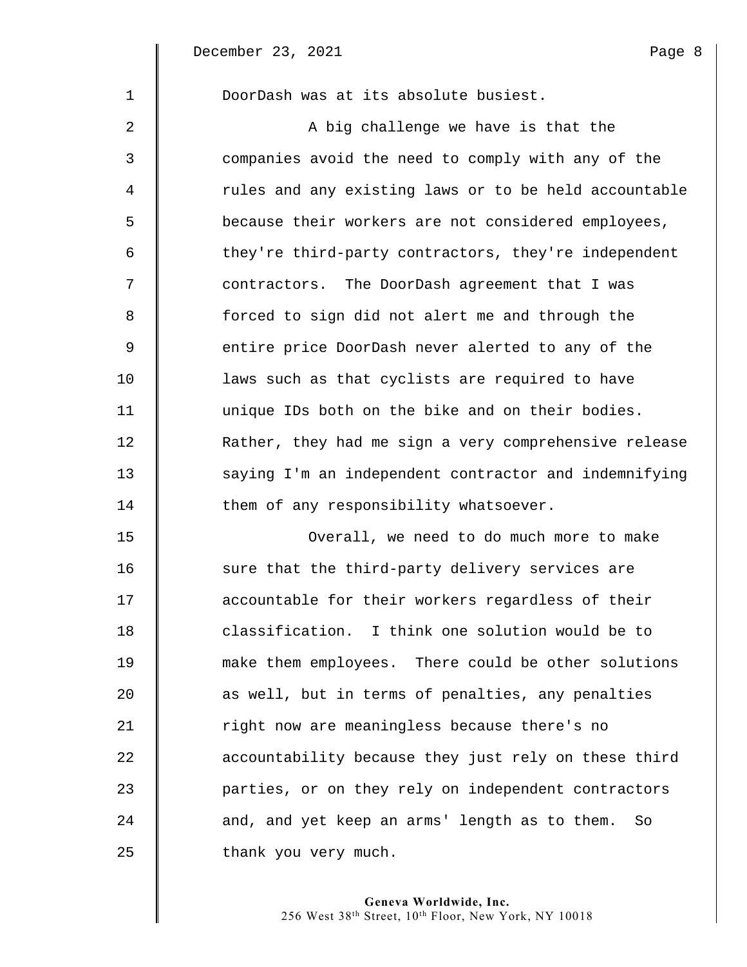| $\mathbf{1}$   | DoorDash was at its absolute busiest.                 |
|----------------|-------------------------------------------------------|
| 2              | A big challenge we have is that the                   |
| $\mathfrak{Z}$ | companies avoid the need to comply with any of the    |
| $\overline{4}$ | rules and any existing laws or to be held accountable |
| 5              | because their workers are not considered employees,   |
| 6              | they're third-party contractors, they're independent  |
| 7              | contractors. The DoorDash agreement that I was        |
| 8              | forced to sign did not alert me and through the       |
| 9              | entire price DoorDash never alerted to any of the     |
| 10             | laws such as that cyclists are required to have       |
| 11             | unique IDs both on the bike and on their bodies.      |
| 12             | Rather, they had me sign a very comprehensive release |
| 13             | saying I'm an independent contractor and indemnifying |
| 14             | them of any responsibility whatsoever.                |
| 15             | Overall, we need to do much more to make              |
| 16             | sure that the third-party delivery services are       |

 $\parallel$  sure that the third-party delivery services are **accountable for their workers regardless of their classification.** I think one solution would be to 19 make them employees. There could be other solutions **d** as well, but in terms of penalties, any penalties 21 | right now are meaningless because there's no **accountability because they just rely on these third parties**, or on they rely on independent contractors 24 and, and yet keep an arms' length as to them. So **thank** you very much.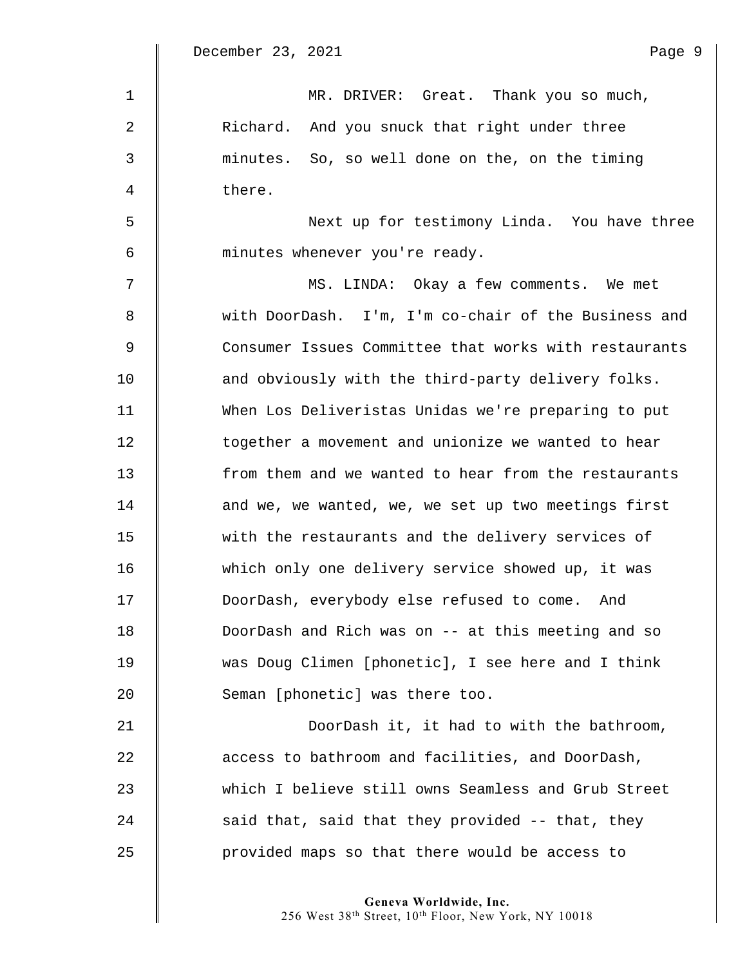| $\mathbf{1}$ | MR. DRIVER: Great. Thank you so much,                 |
|--------------|-------------------------------------------------------|
| 2            | Richard. And you snuck that right under three         |
| 3            | minutes. So, so well done on the, on the timing       |
| 4            | there.                                                |
| 5            | Next up for testimony Linda. You have three           |
| 6            | minutes whenever you're ready.                        |
| 7            | MS. LINDA: Okay a few comments. We met                |
| 8            | with DoorDash. I'm, I'm co-chair of the Business and  |
| 9            | Consumer Issues Committee that works with restaurants |
| 10           | and obviously with the third-party delivery folks.    |
| 11           | When Los Deliveristas Unidas we're preparing to put   |
| 12           | together a movement and unionize we wanted to hear    |
| 13           | from them and we wanted to hear from the restaurants  |
| 14           | and we, we wanted, we, we set up two meetings first   |
| 15           | with the restaurants and the delivery services of     |
| 16           | which only one delivery service showed up, it was     |
| 17           | DoorDash, everybody else refused to come. And         |
| 18           | DoorDash and Rich was on -- at this meeting and so    |
| 19           | was Doug Climen [phonetic], I see here and I think    |
| 20           | Seman [phonetic] was there too.                       |
| 21           | DoorDash it, it had to with the bathroom,             |
| 22           | access to bathroom and facilities, and DoorDash,      |
| 23           | which I believe still owns Seamless and Grub Street   |
| 24           | said that, said that they provided -- that, they      |

25 | provided maps so that there would be access to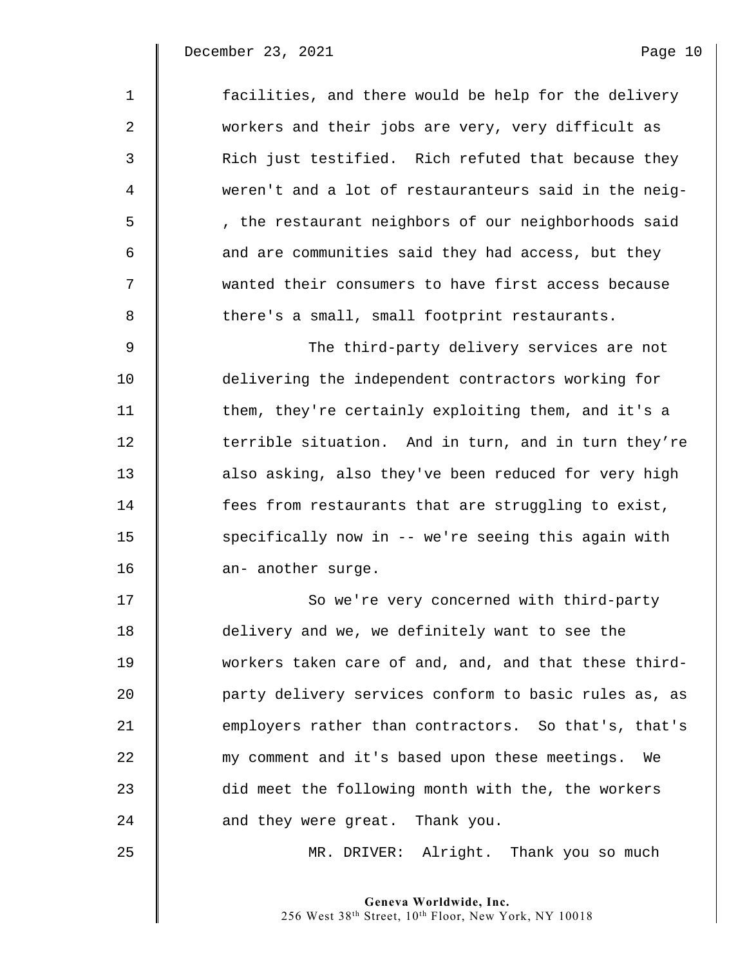December 23, 2021 and the page 10 Page 10

| $\mathbf{1}$ | facilities, and there would be help for the delivery  |
|--------------|-------------------------------------------------------|
| 2            | workers and their jobs are very, very difficult as    |
| 3            | Rich just testified. Rich refuted that because they   |
| 4            | weren't and a lot of restauranteurs said in the neig- |
| 5            | , the restaurant neighbors of our neighborhoods said  |
| 6            | and are communities said they had access, but they    |
| 7            | wanted their consumers to have first access because   |
| 8            | there's a small, small footprint restaurants.         |
| 9            | The third-party delivery services are not             |
| 10           | delivering the independent contractors working for    |
| 11           | them, they're certainly exploiting them, and it's a   |
| 12           | terrible situation. And in turn, and in turn they're  |
| 13           | also asking, also they've been reduced for very high  |
| 14           | fees from restaurants that are struggling to exist,   |
| 15           | specifically now in -- we're seeing this again with   |
| 16           | an- another surge.                                    |
| 17           | So we're very concerned with third-party              |
| 18           | delivery and we, we definitely want to see the        |
| 19           | workers taken care of and, and, and that these third- |
| 20           | party delivery services conform to basic rules as, as |
| 21           | employers rather than contractors. So that's, that's  |
| 22           | my comment and it's based upon these meetings.<br>We  |
| 23           | did meet the following month with the, the workers    |
| 24           | and they were great. Thank you.                       |
| 25           | MR. DRIVER: Alright. Thank you so much                |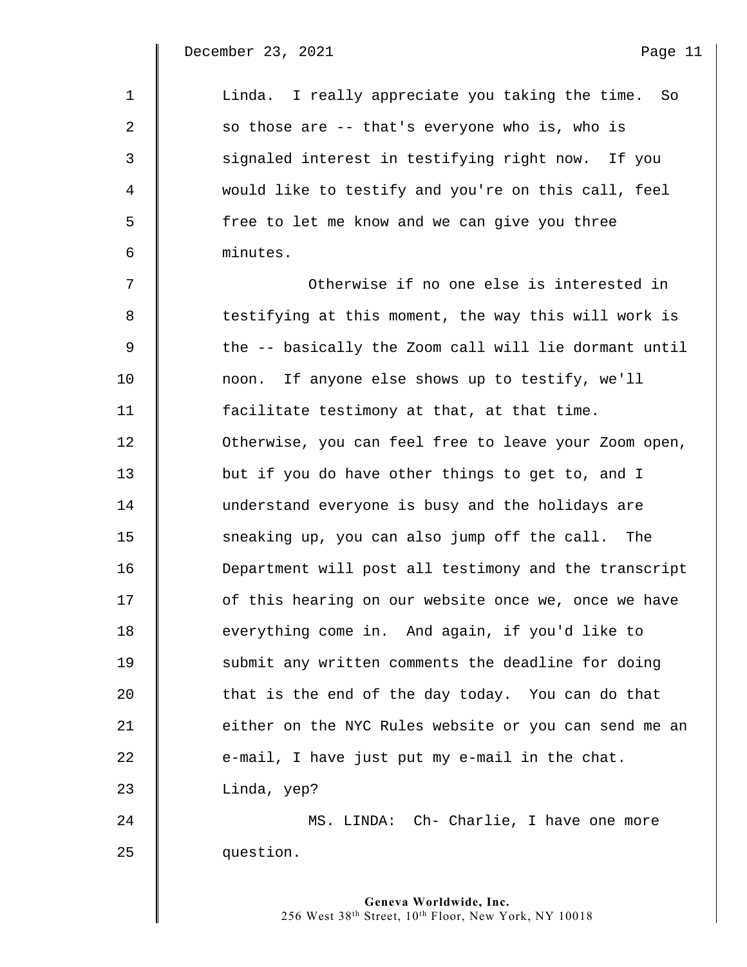December 23, 2021 and the contract of the Page 11

| $\mathbf{1}$ | Linda. I really appreciate you taking the time. So    |
|--------------|-------------------------------------------------------|
| 2            | so those are -- that's everyone who is, who is        |
| 3            | signaled interest in testifying right now. If you     |
| 4            | would like to testify and you're on this call, feel   |
| 5            | free to let me know and we can give you three         |
| 6            | minutes.                                              |
| 7            | Otherwise if no one else is interested in             |
| 8            | testifying at this moment, the way this will work is  |
| 9            | the -- basically the Zoom call will lie dormant until |
| 10           | If anyone else shows up to testify, we'll<br>noon.    |
| 11           | facilitate testimony at that, at that time.           |
| 12           | Otherwise, you can feel free to leave your Zoom open, |
| 13           | but if you do have other things to get to, and I      |
| 14           | understand everyone is busy and the holidays are      |
| 15           | sneaking up, you can also jump off the call. The      |
| 16           | Department will post all testimony and the transcript |
| 17           | of this hearing on our website once we, once we have  |
| 18           | everything come in. And again, if you'd like to       |
| 19           | submit any written comments the deadline for doing    |
| 20           | that is the end of the day today. You can do that     |
| 21           | either on the NYC Rules website or you can send me an |
| 22           | e-mail, I have just put my e-mail in the chat.        |
| 23           | Linda, yep?                                           |
| 24           | MS. LINDA: Ch- Charlie, I have one more               |
| 25           | question.                                             |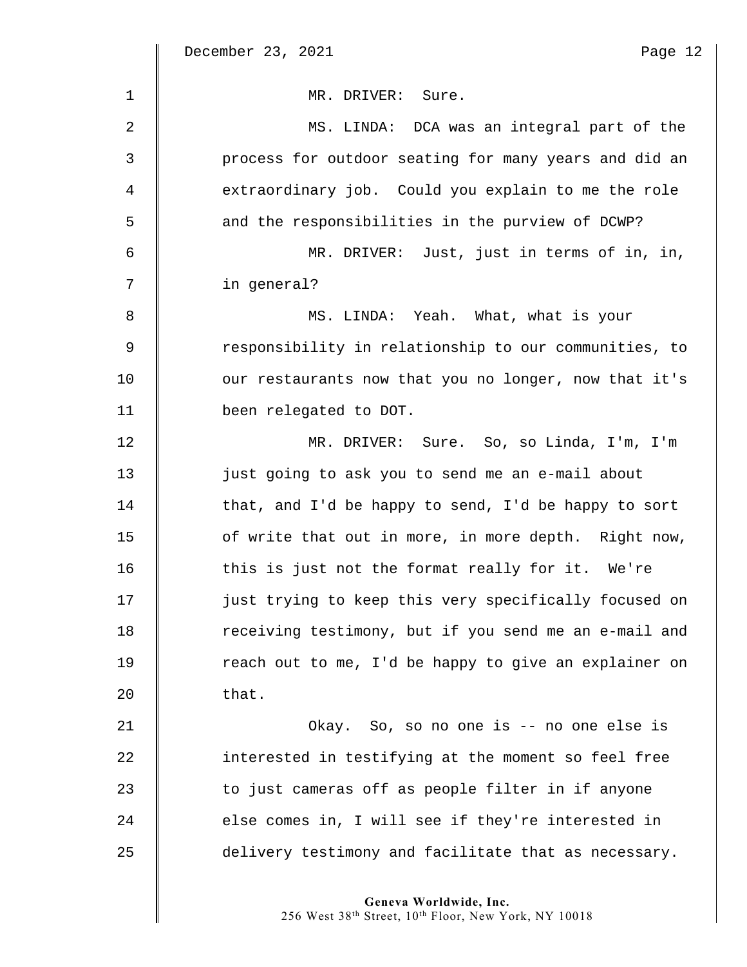$\parallel$ 

| $\mathbf{1}$ | MR. DRIVER: Sure.                                     |
|--------------|-------------------------------------------------------|
| 2            | MS. LINDA: DCA was an integral part of the            |
| 3            | process for outdoor seating for many years and did an |
| 4            | extraordinary job. Could you explain to me the role   |
| 5            | and the responsibilities in the purview of DCWP?      |
| 6            | MR. DRIVER: Just, just in terms of in, in,            |
| 7            | in general?                                           |
| 8            | MS. LINDA: Yeah. What, what is your                   |
| 9            | responsibility in relationship to our communities, to |
| 10           | our restaurants now that you no longer, now that it's |
| 11           | been relegated to DOT.                                |
| 12           | MR. DRIVER: Sure. So, so Linda, I'm, I'm              |
| 13           | just going to ask you to send me an e-mail about      |
| 14           | that, and I'd be happy to send, I'd be happy to sort  |
| 15           | of write that out in more, in more depth. Right now,  |
| 16           | this is just not the format really for it. We're      |
| 17           | just trying to keep this very specifically focused on |
| 18           | receiving testimony, but if you send me an e-mail and |
| 19           | reach out to me, I'd be happy to give an explainer on |
| 20           | that.                                                 |
| 21           | Okay. So, so no one is -- no one else is              |
| 22           | interested in testifying at the moment so feel free   |
| 23           | to just cameras off as people filter in if anyone     |
| 24           | else comes in, I will see if they're interested in    |
| 25           | delivery testimony and facilitate that as necessary.  |
|              |                                                       |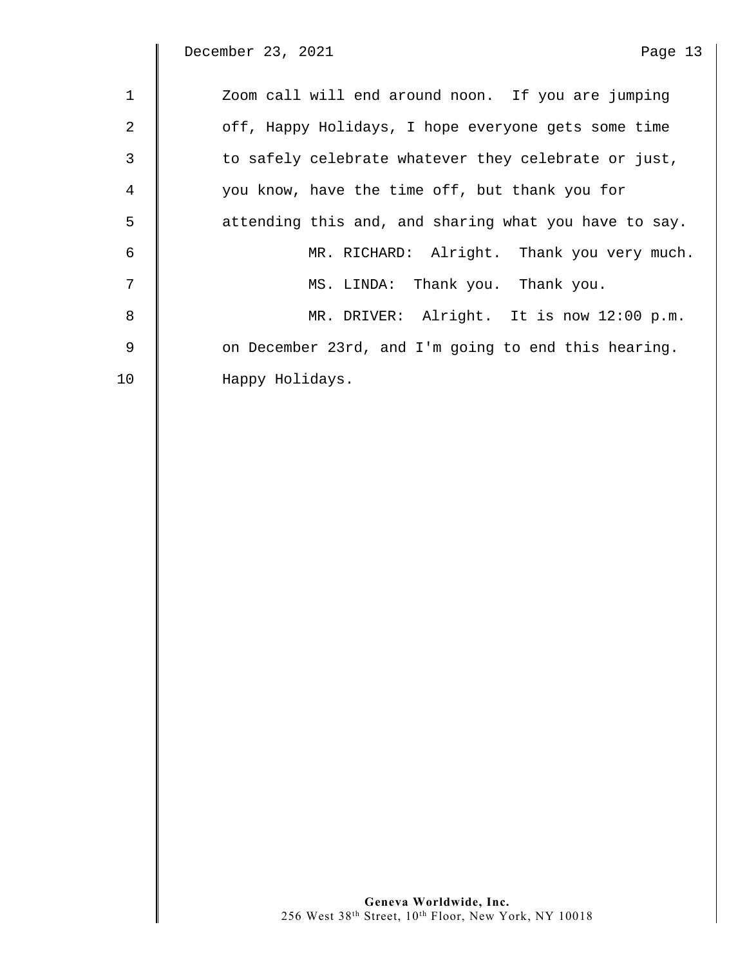December 23, 2021 and the page 13 Page 13

| $\mathbf{1}$ | Zoom call will end around noon. If you are jumping    |
|--------------|-------------------------------------------------------|
| 2            | off, Happy Holidays, I hope everyone gets some time   |
| 3            | to safely celebrate whatever they celebrate or just,  |
| 4            | you know, have the time off, but thank you for        |
| 5            | attending this and, and sharing what you have to say. |
| 6            | MR. RICHARD: Alright. Thank you very much.            |
| 7            | MS. LINDA: Thank you. Thank you.                      |
| 8            | MR. DRIVER: Alright. It is now 12:00 p.m.             |
| 9            | on December 23rd, and I'm going to end this hearing.  |
| 10           | Happy Holidays.                                       |